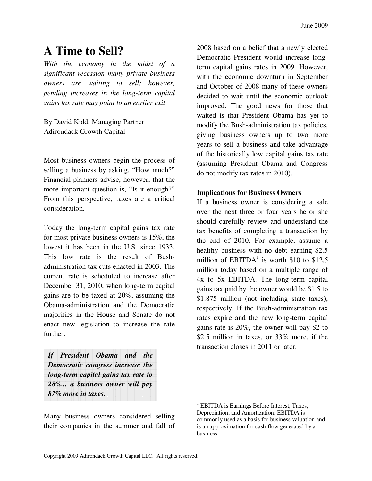## **A Time to Sell?**

*With the economy in the midst of a significant recession many private business owners are waiting to sell; however, pending increases in the long-term capital gains tax rate may point to an earlier exit* 

By David Kidd, Managing Partner Adirondack Growth Capital

Most business owners begin the process of selling a business by asking, "How much?" Financial planners advise, however, that the more important question is, "Is it enough?" From this perspective, taxes are a critical consideration.

Today the long-term capital gains tax rate for most private business owners is 15%, the lowest it has been in the U.S. since 1933. This low rate is the result of Bushadministration tax cuts enacted in 2003. The current rate is scheduled to increase after December 31, 2010, when long-term capital gains are to be taxed at 20%, assuming the Obama-administration and the Democratic majorities in the House and Senate do not enact new legislation to increase the rate further.

*If President Obama and the Democratic congress increase the long-term capital gains tax rate to 28%... a business owner will pay 87% more in taxes.*

Many business owners considered selling their companies in the summer and fall of

2008 based on a belief that a newly elected Democratic President would increase longterm capital gains rates in 2009. However, with the economic downturn in September and October of 2008 many of these owners decided to wait until the economic outlook improved. The good news for those that waited is that President Obama has yet to modify the Bush-administration tax policies, giving business owners up to two more years to sell a business and take advantage of the historically low capital gains tax rate (assuming President Obama and Congress do not modify tax rates in 2010).

## **Implications for Business Owners**

If a business owner is considering a sale over the next three or four years he or she should carefully review and understand the tax benefits of completing a transaction by the end of 2010. For example, assume a healthy business with no debt earning \$2.5 million of  $EBITDA<sup>1</sup>$  is worth \$10 to \$12.5 million today based on a multiple range of 4x to 5x EBITDA. The long-term capital gains tax paid by the owner would be \$1.5 to \$1.875 million (not including state taxes), respectively. If the Bush-administration tax rates expire and the new long-term capital gains rate is 20%, the owner will pay \$2 to \$2.5 million in taxes, or 33% more, if the transaction closes in 2011 or later.

 $\overline{a}$ 

<sup>&</sup>lt;sup>1</sup> EBITDA is Earnings Before Interest, Taxes, Depreciation, and Amortization; EBITDA is commonly used as a basis for business valuation and is an approximation for cash flow generated by a business.